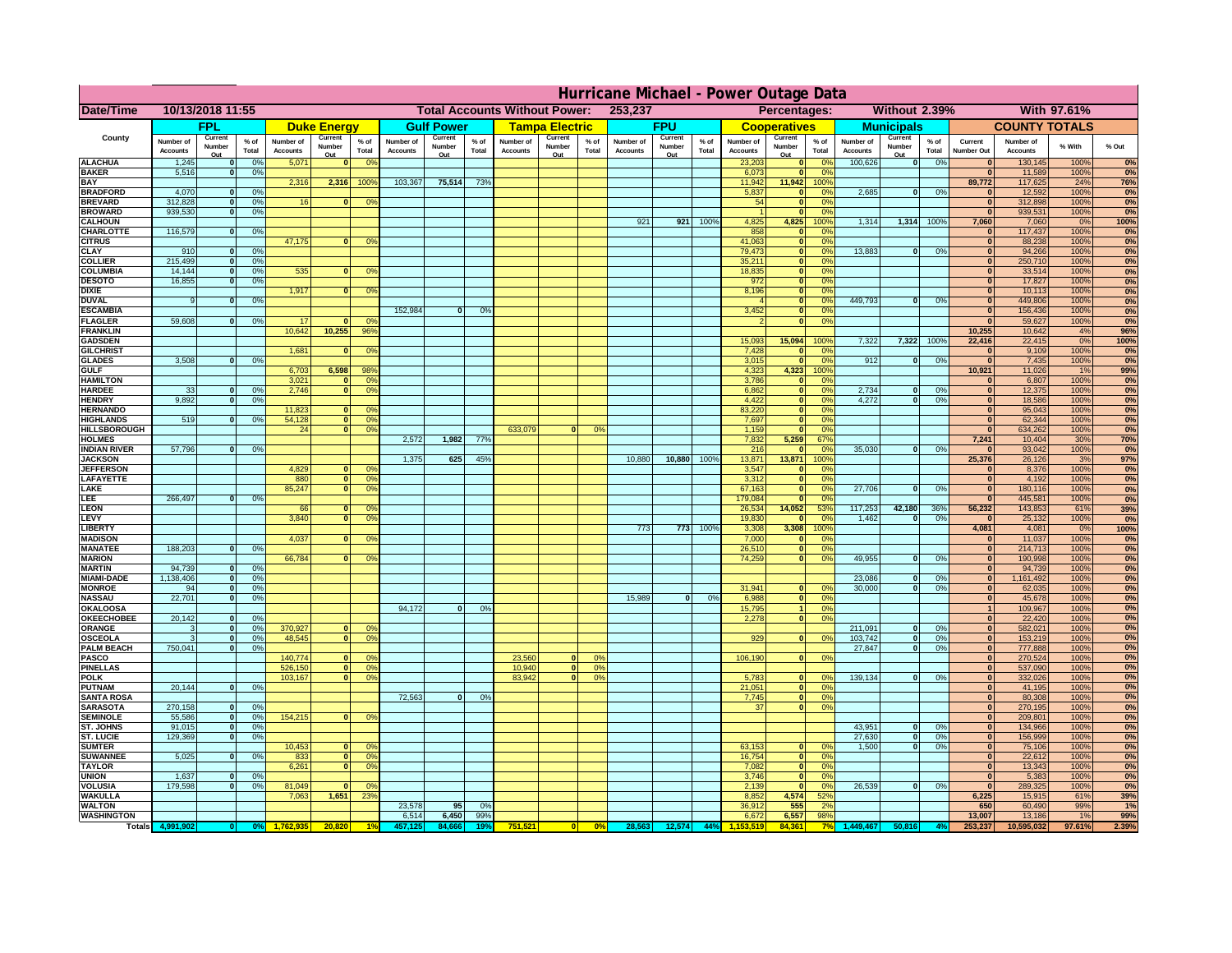|                                      | Hurricane Michael - Power Outage Data |                              |                 |                              |                     |                                                 |                              |                   |                |                              |                                                     |                  |                       |                   |                 |                              |                     |                                  |                              |                                |                 |                               |                              |              |            |
|--------------------------------------|---------------------------------------|------------------------------|-----------------|------------------------------|---------------------|-------------------------------------------------|------------------------------|-------------------|----------------|------------------------------|-----------------------------------------------------|------------------|-----------------------|-------------------|-----------------|------------------------------|---------------------|----------------------------------|------------------------------|--------------------------------|-----------------|-------------------------------|------------------------------|--------------|------------|
| Date/Time                            | 10/13/2018 11:55                      |                              |                 |                              |                     | 253,237<br><b>Total Accounts Without Power:</b> |                              |                   |                |                              | <b>Without 2.39%</b><br>With 97.61%<br>Percentages: |                  |                       |                   |                 |                              |                     |                                  |                              |                                |                 |                               |                              |              |            |
|                                      |                                       | FPL                          |                 |                              | <b>Duke Energy</b>  |                                                 |                              | <b>Gulf Power</b> |                |                              | <b>Tampa Electric</b>                               |                  |                       | <b>FPU</b>        |                 |                              | <b>Cooperatives</b> |                                  |                              | <b>Municipals</b>              |                 |                               | <b>COUNTY TOTALS</b>         |              |            |
| County                               | Number of<br><b>Accounts</b>          | Current<br>Number            | $%$ of<br>Total | Number of<br><b>Accounts</b> | Current<br>Number   | $%$ of                                          | Number of<br><b>Accounts</b> | Current<br>Number | % of<br>Total  | Number of<br><b>Accounts</b> | Current<br>Number                                   | $%$ of<br>Total  | Number of<br>Accounts | Current<br>Number | $%$ of<br>Total | Number of<br><b>Accounts</b> | Current<br>Number   | $%$ of<br>Total                  | Number of<br><b>Accounts</b> | Current<br>Number              | $%$ of<br>Total | Current<br><b>Number Out</b>  | Number of<br><b>Accounts</b> | % With       | % Out      |
| <b>ALACHUA</b>                       | 1,245                                 | Out<br>$\mathbf{0}$          | 0%              | 5,071                        | Out<br>$\mathbf{0}$ | Total<br>0 <sup>9</sup>                         |                              | Out               |                |                              | Out                                                 |                  |                       | Out               |                 | 23,203                       | Out<br> 0           | 0 <sup>9</sup>                   | 100,626                      | Out<br> 0                      | 0%              | $\bf{0}$                      | 130,145                      | 100%         | 0%         |
| <b>BAKER</b>                         | 5,516                                 | 0                            | 0%              |                              |                     |                                                 |                              |                   |                |                              |                                                     |                  |                       |                   |                 | 6,073                        | 0                   | 0%                               |                              |                                |                 | $\overline{\mathbf{0}}$       | 11,589                       | 100%         | 0%         |
| <b>BAY</b>                           |                                       |                              |                 | 2,316                        | 2,316               | 100%                                            | 103,367                      | 75,514            | 73%            |                              |                                                     |                  |                       |                   |                 | 11,942                       | 11,942              | 100%                             |                              |                                |                 | 89,772                        | 117,625                      | 24%          | 76%        |
| <b>BRADFORD</b><br><b>BREVARD</b>    | 4,070<br>312,828                      | $\mathbf{0}$<br> 0           | 0%<br>0%        | 16                           | $\mathbf{0}$        | 0 <sup>o</sup>                                  |                              |                   |                |                              |                                                     |                  |                       |                   |                 | 5,837<br>54                  | 0 <br> 0            | 0%<br>0%                         | 2,685                        | 0                              | 0%              | $\bf{0}$<br>$\mathbf{0}$      | 12,592<br>312,898            | 100%<br>100% | 0%<br>0%   |
| <b>BROWARD</b>                       | 939.530                               | 0                            | 0%              |                              |                     |                                                 |                              |                   |                |                              |                                                     |                  |                       |                   |                 |                              | 0                   | 0%                               |                              |                                |                 | $\bf{0}$                      | 939,531                      | 100%         | 0%         |
| <b>CALHOUN</b>                       |                                       |                              |                 |                              |                     |                                                 |                              |                   |                |                              |                                                     |                  | 921                   | 921               | 100%            | 4,825                        | 4,825               | 100%                             | 1,314                        |                                | 1,314 100%      | 7,060                         | 7,060                        | 0%           | 100%       |
| CHARLOTTE<br><b>CITRUS</b>           | 116,579                               | 0                            | 0%              | 47,175                       | $\mathbf{0}$        | 0 <sup>o</sup>                                  |                              |                   |                |                              |                                                     |                  |                       |                   |                 | 858<br>41,063                | 0 <br> 0            | 0 <sup>o</sup><br>0 <sup>9</sup> |                              |                                |                 | $\bf{0}$                      | 117,437<br>88,238            | 100%<br>100% | 0%<br>0%   |
| <b>CLAY</b>                          | 910                                   | $\mathbf{0}$                 | 0%              |                              |                     |                                                 |                              |                   |                |                              |                                                     |                  |                       |                   |                 | 79,473                       | 0                   | 0%                               | 13,883                       | 0                              | 0%              | $\bf{0}$                      | 94,266                       | 100%         | 0%         |
| <b>COLLIER</b><br><b>COLUMBIA</b>    | 215,499<br>14,144                     | $\mathbf{0}$                 | 0 <sup>9</sup>  | 535                          | $\mathbf{0}$        |                                                 |                              |                   |                |                              |                                                     |                  |                       |                   |                 | 35,211                       | 0 <br> 0            | 0%<br>0%                         |                              |                                |                 | $\bf{0}$<br>$\bf{0}$          | 250,710                      | 100%<br>100% | 0%<br>0%   |
| <b>DESOTO</b>                        | 16,855                                | $\mathbf 0$<br>$\mathbf{0}$  | 0%<br>0%        |                              |                     | 0 <sup>9</sup>                                  |                              |                   |                |                              |                                                     |                  |                       |                   |                 | 18,835<br>972                | 0                   | 0%                               |                              |                                |                 | $\bf{0}$                      | 33,514<br>17,827             | 100%         | 0%         |
| <b>DIXIE</b>                         |                                       |                              |                 | 1,917                        | $\mathbf{0}$        | 0 <sup>9</sup>                                  |                              |                   |                |                              |                                                     |                  |                       |                   |                 | 8,196                        | 0                   | 0%                               |                              |                                |                 | $\Omega$                      | 10,113                       | 100%         | 0%         |
| <b>DUVAL</b>                         | 9                                     | $\Omega$                     | 0%              |                              |                     |                                                 |                              |                   |                |                              |                                                     |                  |                       |                   |                 |                              | 0                   | 0%                               | 449.793                      | - O I                          | 0%              | $\Omega$                      | 449,806                      | 100%         | 0%         |
| <b>ESCAMBIA</b><br><b>FLAGLER</b>    | 59,608                                | $\overline{0}$               | 0%              | 17                           |                     | $^{\circ}$                                      | 152,984                      | $\mathbf{0}$      | 0 <sup>9</sup> |                              |                                                     |                  |                       |                   |                 | 3,452                        | 0 <br> 0            | 0%<br>0%                         |                              |                                |                 | $\mathbf{0}$<br>$\Omega$      | 156,436<br>59,627            | 100%<br>100% | 0%<br>0%   |
| <b>FRANKLIN</b>                      |                                       |                              |                 | 10,642                       | 10,255              | 96%                                             |                              |                   |                |                              |                                                     |                  |                       |                   |                 |                              |                     |                                  |                              |                                |                 | 10,255                        | 10,642                       | 4%           | 96%        |
| <b>GADSDEN</b>                       |                                       |                              |                 |                              |                     |                                                 |                              |                   |                |                              |                                                     |                  |                       |                   |                 | 15,093                       | 15,094              | 100%                             | 7,322                        |                                | 7,322 100%      | 22,416                        | 22,415                       | 0%           | 100%       |
| <b>GILCHRIST</b><br><b>GLADES</b>    | 3,508                                 | 0                            | 0%              | 1,681                        | $\mathbf{0}$        | 0 <sup>9</sup>                                  |                              |                   |                |                              |                                                     |                  |                       |                   |                 | 7,428<br>3,015               | 0 <br> 0            | 0%<br>0%                         | 912                          | $\overline{0}$                 | 0%              | $\overline{\mathbf{0}}$<br> 0 | 9,109<br>7,435               | 100%<br>100% | 0%<br>0%   |
| <b>GULF</b>                          |                                       |                              |                 | 6,703                        | 6,598               | 98%                                             |                              |                   |                |                              |                                                     |                  |                       |                   |                 | 4,323                        | 4,323               | 100%                             |                              |                                |                 | 10,921                        | 11,026                       | 1%           | 99%        |
| <b>HAMILTON</b>                      |                                       |                              |                 | 3,021                        | $\Omega$            | 0 <sup>9</sup>                                  |                              |                   |                |                              |                                                     |                  |                       |                   |                 | 3,786                        | 0                   | 0%                               |                              |                                |                 | $\Omega$                      | 6,807                        | 100%         | 0%         |
| <b>HARDEE</b><br><b>HENDRY</b>       | 33<br>9.892                           | $\mathbf{0}$<br>$\mathbf{0}$ | 0%              | 2.746                        | $\overline{0}$      | 0 <sup>9</sup>                                  |                              |                   |                |                              |                                                     |                  |                       |                   |                 | 6.862<br>4.422               |                     | $\overline{0}$<br>0%<br>0%       | 2.734<br>4.272               | $\mathbf{0}$<br>$\overline{0}$ | 0%<br>0%        | 0 <br> 0                      | 12,375<br>18.586             | 100%<br>100% | 0%         |
| <b>HERNANDO</b>                      |                                       |                              | 0%              | 11,823                       | $\Omega$            | 0 <sup>o</sup>                                  |                              |                   |                |                              |                                                     |                  |                       |                   |                 | 83,220                       |                     | 0 <br>$\overline{0}$<br>0%       |                              |                                |                 | 0                             | 95,043                       | 100%         | 0%<br>0%   |
| <b>HIGHLANDS</b>                     | 519                                   | $\mathbf{0}$                 | 0 <sup>9</sup>  | 54,128                       | 0                   | 0 <sup>9</sup>                                  |                              |                   |                |                              |                                                     |                  |                       |                   |                 | 7,697                        |                     | $\overline{0}$<br>0%             |                              |                                |                 | 0                             | 62,344                       | 100%         | 0%         |
| <b>HILLSBOROUGH</b>                  |                                       |                              |                 | 24                           | $\overline{0}$      | 0 <sup>9</sup>                                  |                              |                   |                | 633,079                      |                                                     | 0%               |                       |                   |                 | 1,159                        | 0                   | 0%                               |                              |                                |                 | $\mathbf{0}$                  | 634,262                      | 100%         | 0%         |
| <b>HOLMES</b><br><b>INDIAN RIVER</b> | 57,796                                | 0                            | 0%              |                              |                     |                                                 | 2,572                        | 1,982             | 77%            |                              |                                                     |                  |                       |                   |                 | 7,832<br>216                 | 5,259<br> 0         | 67%<br>0 <sup>9</sup>            | 35,030                       | $\mathbf{0}$                   | 0%              | 7,241<br>$\mathbf{0}$         | 10,404<br>93,042             | 30%<br>100%  | 70%<br>0%  |
| <b>JACKSON</b>                       |                                       |                              |                 |                              |                     |                                                 | 1,375                        | 625               | 45%            |                              |                                                     |                  | 10,880                | 10,880            | 100%            | 13,871                       | 13,871              | 100%                             |                              |                                |                 | 25,376                        | 26,126                       | 3%           | 97%        |
| <b>JEFFERSOI</b>                     |                                       |                              |                 | 4,829                        | $\Omega$            | $^{\circ}$                                      |                              |                   |                |                              |                                                     |                  |                       |                   |                 | 3,547                        | 0                   | 0 <sup>9</sup>                   |                              |                                |                 | $\Omega$                      | 8,376                        | 100%         | 0%         |
| <b>LAFAYETTE</b>                     |                                       |                              |                 | 880                          | $\overline{0}$      | 0 <sup>9</sup>                                  |                              |                   |                |                              |                                                     |                  |                       |                   |                 | 3,312                        |                     | 0 <br>0%                         | 27,706                       |                                |                 | 0                             | 4,192                        | 100%         | 0%         |
| LAKE<br>LEE                          | 266,497                               | $\overline{0}$               | 0%              | 85,247                       | $\overline{0}$      | 0 <sup>9</sup>                                  |                              |                   |                |                              |                                                     |                  |                       |                   |                 | 67,163<br>179,084            |                     | 0 <br>0%<br> 0 <br>0%            |                              | $\Omega$                       | 0%              | 0 <br> 0                      | 180,116<br>445,581           | 100%<br>100% | 0%<br>0%   |
| <b>LEON</b>                          |                                       |                              |                 | 66                           | $\mathbf{0}$        | O <sup>c</sup>                                  |                              |                   |                |                              |                                                     |                  |                       |                   |                 | 26,534                       | 14,052              | 53%                              | 117,253                      | 42,180                         | 36%             | 56,232                        | 143,853                      | 61%          | 39%        |
| LEVY                                 |                                       |                              |                 | 3,840                        | 0                   | 0 <sup>o</sup>                                  |                              |                   |                |                              |                                                     |                  |                       |                   |                 | 19,830                       |                     | 0 <br>0 <sup>9</sup>             | 1,462                        | $\Omega$                       | 0%              | 0                             | 25,132                       | 100%         | 0%         |
| <b>LIBERTY</b><br><b>MADISON</b>     |                                       |                              |                 | 4,037                        | $\Omega$            | 0 <sup>o</sup>                                  |                              |                   |                |                              |                                                     |                  | 773                   | 773               | 100%            | 3,308<br>7,000               | 3,308<br> 0         | 100%<br>0 <sup>9</sup>           |                              |                                |                 | 4,081<br>$\mathbf{0}$         | 4,081<br>11,037              | 0%<br>100%   | 100%<br>0% |
| <b>MANATEE</b>                       | 188,203                               | $\Omega$                     | 0%              |                              |                     |                                                 |                              |                   |                |                              |                                                     |                  |                       |                   |                 | 26,510                       |                     | 0 <br>0%                         |                              |                                |                 | 0                             | 214,713                      | 100%         | 0%         |
| <b>MARION</b>                        |                                       |                              |                 | 66,784                       | ΩI                  | 0°                                              |                              |                   |                |                              |                                                     |                  |                       |                   |                 | 74,259                       |                     | $\overline{0}$<br>0%             | 49,955                       | $\Omega$                       | 0%              | 0                             | 190,998                      | 100%         | 0%         |
| <b>MARTIN</b>                        | 94,739<br>1,138,406                   | $\Omega$                     | 0%<br>0%        |                              |                     |                                                 |                              |                   |                |                              |                                                     |                  |                       |                   |                 |                              |                     |                                  | 23,086                       | $\Omega$                       | 0%              | 0                             | 94,739                       | 100%<br>100% | 0%<br>0%   |
| <b>MIAMI-DADE</b><br><b>MONROE</b>   | 94                                    | 0 <br> 0                     | 0%              |                              |                     |                                                 |                              |                   |                |                              |                                                     |                  |                       |                   |                 | 31,941                       | $\overline{0}$      | 0 <sup>9</sup>                   | 30,000                       | 0                              | 0%              | 0 <br> 0                      | 1,161,492<br>62,035          | 100%         | 0%         |
| <b>NASSAU</b>                        | 22,701                                | 0                            | 0%              |                              |                     |                                                 |                              |                   |                |                              |                                                     |                  | 15,989                | 0                 | 0%              | 6,988                        |                     | 0 <br>0%                         |                              |                                |                 | 0                             | 45,678                       | 100%         | 0%         |
| OKALOOSA                             |                                       |                              |                 |                              |                     |                                                 | 94,172                       | $\Omega$          | 0%             |                              |                                                     |                  |                       |                   |                 | 15,795                       |                     | 0%<br>1                          |                              |                                |                 | 1                             | 109,967                      | 100%         | 0%         |
| <b>OKEECHOBEE</b><br>ORANGE          | 20,142<br>3                           | 0 <br> 0                     | 0%<br>0%        | 370,927                      |                     | 0 <br>0 <sup>o</sup>                            |                              |                   |                |                              |                                                     |                  |                       |                   |                 | 2,278                        |                     | 0 <br>0%                         | 211,091                      | $\mathbf{0}$                   | 0%              | 0 <br> 0                      | 22,420<br>582,021            | 100%<br>100% | 0%<br>0%   |
| <b>OSCEOLA</b>                       | 3                                     | 0                            | 0%              | 48,545                       |                     | 0 <sup>9</sup><br> 0                            |                              |                   |                |                              |                                                     |                  |                       |                   |                 | 929                          |                     | 0 <br>0%                         | 103,742                      | 0                              | 0%              | 0                             | 153,219                      | 100%         | 0%         |
| <b>PALM BEACH</b>                    | 750,041                               | 0                            | 0%              |                              |                     |                                                 |                              |                   |                |                              |                                                     |                  |                       |                   |                 |                              |                     |                                  | 27,847                       | $\overline{\mathbf{0}}$        | 0%              | 0                             | 777,888                      | 100%         | 0%         |
| <b>PASCO</b><br><b>PINELLAS</b>      |                                       |                              |                 | 140,774<br>526,150           | $\Omega$<br> 0      | $^{\circ}$<br>0 <sup>9</sup>                    |                              |                   |                | 23,560<br>10,940             | $\Omega$<br> 0                                      | $^{\circ}$<br>0% |                       |                   |                 | 106,190                      |                     | 0 <br>0%                         |                              |                                |                 | 0 <br>$\Omega$                | 270,524<br>537,090           | 100%<br>100% | 0%<br>0%   |
| <b>POLK</b>                          |                                       |                              |                 | 103,167                      |                     | 0 <sup>9</sup><br> 0                            |                              |                   |                | 83,942                       | $\mathbf{a}$                                        | 0%               |                       |                   |                 | 5,783                        |                     | 0 <br>$\Omega$                   | 139,134                      | 0                              | 0%              | 0                             | 332,026                      | 100%         | 0%         |
| <b>PUTNAM</b>                        | 20,144                                | 0                            | 0%              |                              |                     |                                                 |                              |                   |                |                              |                                                     |                  |                       |                   |                 | 21,051                       |                     | 0 <br>0%                         |                              |                                |                 | $\bf{0}$                      | 41,195                       | 100%         | 0%         |
| <b>SANTA ROSA</b>                    |                                       |                              |                 |                              |                     |                                                 | 72,563                       | 0                 | 0%             |                              |                                                     |                  |                       |                   |                 | 7,745                        |                     | 0 <br>0%                         |                              |                                |                 | $\mathbf{0}$                  | 80,308                       | 100%         | 0%         |
| <b>SARASOTA</b><br><b>SEMINOLE</b>   | 270,158<br>55,586                     | 0 <br> 0                     | 0%<br>0%        | 154,215                      | $\mathbf{0}$        | 0 <sup>9</sup>                                  |                              |                   |                |                              |                                                     |                  |                       |                   |                 | 37                           |                     | 0 <br>0%                         |                              |                                |                 | 0 <br> 0                      | 270,195<br>209,801           | 100%<br>100% | 0%<br>0%   |
| <b>ST. JOHNS</b>                     | 91,015                                | 0                            | 0%              |                              |                     |                                                 |                              |                   |                |                              |                                                     |                  |                       |                   |                 |                              |                     |                                  | 43,951                       | -ol                            | 0%              | 0                             | 134,966                      | 100%         | 0%         |
| <b>ST. LUCIE</b>                     | 129.369                               | $\overline{0}$               | 0%              |                              |                     |                                                 |                              |                   |                |                              |                                                     |                  |                       |                   |                 |                              |                     |                                  | 27.630                       | - O I                          | 0%              | 0                             | 156,999                      | 100%         | 0%         |
| <b>SUMTER</b><br><b>SUWANNEE</b>     | 5,025                                 | 0                            | 0%              | 10,453<br>833                | 0 <br> 0            | 0 <sup>9</sup><br>0 <sup>o</sup>                |                              |                   |                |                              |                                                     |                  |                       |                   |                 | 63,153<br>16,754             |                     | 0 <br>0%<br> 0 <br>0%            | 1.500                        | 0                              | 0%              | 0 <br>$\mathbf{0}$            | 75,106<br>22,612             | 100%<br>100% | 0%<br>0%   |
| <b>TAYLOR</b>                        |                                       |                              |                 | 6,261                        | 0                   | 0 <sup>9</sup>                                  |                              |                   |                |                              |                                                     |                  |                       |                   |                 | 7,082                        |                     | 0 <br>0%                         |                              |                                |                 | $\bf{0}$                      | 13,343                       | 100%         | 0%         |
| <b>UNION</b>                         | 1,637                                 | $\mathbf{0}$                 | 0%              |                              |                     |                                                 |                              |                   |                |                              |                                                     |                  |                       |                   |                 | 3,746                        |                     | 0 <br>0%                         |                              |                                |                 | $\bf{0}$                      | 5,383                        | 100%         | 0%         |
| <b>VOLUSIA</b>                       | 179,598                               | 0                            | 0%              | 81,049                       |                     | $\mathbf{O}^{\prime}$                           |                              |                   |                |                              |                                                     |                  |                       |                   |                 | 2,139                        | 0                   | 0%                               | 26,539                       | 0                              | 0%              | $\mathbf{0}$                  | 289,325                      | 100%         | 0%         |
| <b>WAKULLA</b><br><b>WALTON</b>      |                                       |                              |                 | 7,063                        | 1,651               | 23%                                             | 23,578                       | 95                | 0%             |                              |                                                     |                  |                       |                   |                 | 8,852<br>36,912              | 4,574<br>555        | 52%<br>2%                        |                              |                                |                 | 6,225<br>650                  | 15,915<br>60,490             | 61%<br>99%   | 39%<br>1%  |
| <b>WASHINGTON</b>                    |                                       |                              |                 |                              |                     |                                                 | 6,514                        | 6,450             | 99%            |                              |                                                     |                  |                       |                   |                 | 6,672                        | 6,557               | 98%                              |                              |                                |                 | 13,007                        | 13,186                       | 1%           | 99%        |
| <b>Totals</b>                        |                                       |                              |                 |                              | 20,82               |                                                 |                              | 84.666            | 19'            | 751,521                      | 0                                                   | $\frac{1}{2}$    | 28,563                | 12,574            | 44%             |                              | 84.361              |                                  | ,449,467                     |                                |                 | 253,237                       | 10,595,032                   | 97.61%       | 2.39%      |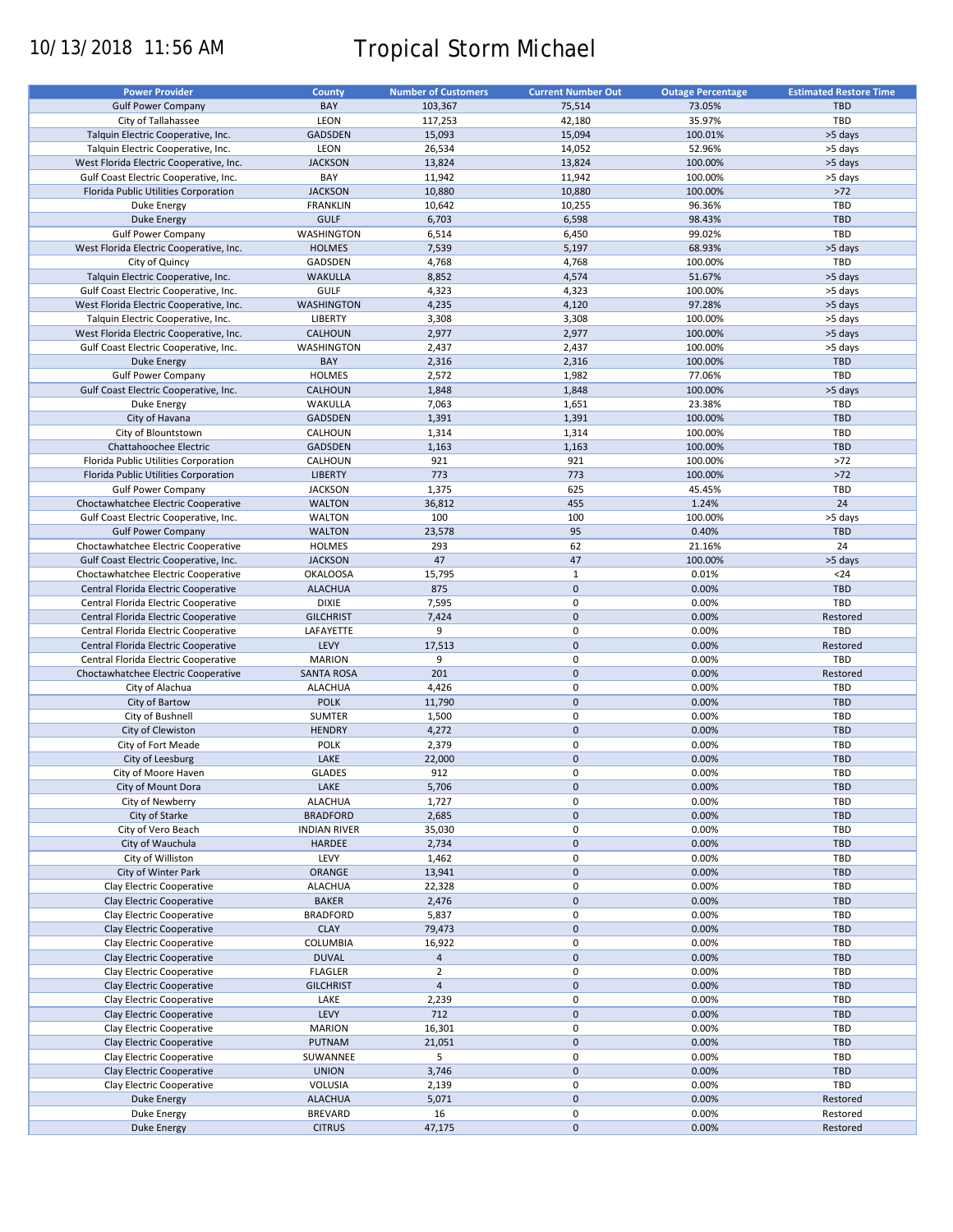# 10/13/2018 11:56 AM Tropical Storm Michael

| <b>Power Provider</b>                   | <b>County</b>       | <b>Number of Customers</b> | <b>Current Number Out</b> | <b>Outage Percentage</b> | <b>Estimated Restore Time</b> |
|-----------------------------------------|---------------------|----------------------------|---------------------------|--------------------------|-------------------------------|
| <b>Gulf Power Company</b>               | BAY                 | 103,367                    | 75,514                    | 73.05%                   | <b>TBD</b>                    |
|                                         |                     |                            |                           |                          |                               |
| City of Tallahassee                     | LEON                | 117,253                    | 42,180                    | 35.97%                   | TBD                           |
| Talquin Electric Cooperative, Inc.      | <b>GADSDEN</b>      | 15,093                     | 15,094                    | 100.01%                  | >5 days                       |
| Talquin Electric Cooperative, Inc.      | LEON                | 26,534                     | 14,052                    | 52.96%                   | >5 days                       |
| West Florida Electric Cooperative, Inc. | <b>JACKSON</b>      | 13,824                     | 13,824                    | 100.00%                  | >5 days                       |
| Gulf Coast Electric Cooperative, Inc.   | BAY                 | 11,942                     | 11,942                    | 100.00%                  | >5 days                       |
| Florida Public Utilities Corporation    | <b>JACKSON</b>      | 10,880                     | 10,880                    | 100.00%                  | $>72$                         |
| Duke Energy                             | <b>FRANKLIN</b>     | 10,642                     | 10,255                    | 96.36%                   | TBD                           |
| <b>Duke Energy</b>                      | <b>GULF</b>         | 6,703                      | 6,598                     | 98.43%                   | <b>TBD</b>                    |
|                                         |                     |                            |                           |                          |                               |
| <b>Gulf Power Company</b>               | WASHINGTON          | 6,514                      | 6,450                     | 99.02%                   | TBD                           |
| West Florida Electric Cooperative, Inc. | <b>HOLMES</b>       | 7,539                      | 5,197                     | 68.93%                   | >5 days                       |
| City of Quincy                          | GADSDEN             | 4,768                      | 4,768                     | 100.00%                  | TBD                           |
| Talquin Electric Cooperative, Inc.      | <b>WAKULLA</b>      | 8,852                      | 4,574                     | 51.67%                   | >5 days                       |
| Gulf Coast Electric Cooperative, Inc.   | <b>GULF</b>         | 4,323                      | 4,323                     | 100.00%                  | >5 days                       |
| West Florida Electric Cooperative, Inc. | WASHINGTON          | 4,235                      | 4,120                     | 97.28%                   | >5 days                       |
| Talquin Electric Cooperative, Inc.      | LIBERTY             | 3,308                      | 3,308                     | 100.00%                  | >5 days                       |
|                                         | <b>CALHOUN</b>      |                            |                           | 100.00%                  |                               |
| West Florida Electric Cooperative, Inc. |                     | 2,977                      | 2,977                     |                          | >5 days                       |
| Gulf Coast Electric Cooperative, Inc.   | WASHINGTON          | 2,437                      | 2,437                     | 100.00%                  | >5 days                       |
| Duke Energy                             | BAY                 | 2,316                      | 2,316                     | 100.00%                  | <b>TBD</b>                    |
| <b>Gulf Power Company</b>               | <b>HOLMES</b>       | 2,572                      | 1,982                     | 77.06%                   | TBD                           |
| Gulf Coast Electric Cooperative, Inc.   | <b>CALHOUN</b>      | 1,848                      | 1,848                     | 100.00%                  | >5 days                       |
| Duke Energy                             | WAKULLA             | 7,063                      | 1,651                     | 23.38%                   | TBD                           |
| City of Havana                          | <b>GADSDEN</b>      | 1,391                      | 1,391                     | 100.00%                  | <b>TBD</b>                    |
|                                         |                     |                            |                           |                          |                               |
| City of Blountstown                     | CALHOUN             | 1,314                      | 1,314                     | 100.00%                  | TBD                           |
| Chattahoochee Electric                  | <b>GADSDEN</b>      | 1,163                      | 1,163                     | 100.00%                  | <b>TBD</b>                    |
| Florida Public Utilities Corporation    | CALHOUN             | 921                        | 921                       | 100.00%                  | $>72$                         |
| Florida Public Utilities Corporation    | <b>LIBERTY</b>      | 773                        | 773                       | 100.00%                  | $>72$                         |
| <b>Gulf Power Company</b>               | <b>JACKSON</b>      | 1,375                      | 625                       | 45.45%                   | TBD                           |
| Choctawhatchee Electric Cooperative     | <b>WALTON</b>       | 36,812                     | 455                       | 1.24%                    | 24                            |
| Gulf Coast Electric Cooperative, Inc.   | <b>WALTON</b>       | 100                        | 100                       | 100.00%                  | >5 days                       |
|                                         |                     |                            | 95                        | 0.40%                    | <b>TBD</b>                    |
| <b>Gulf Power Company</b>               | <b>WALTON</b>       | 23,578                     |                           |                          |                               |
| Choctawhatchee Electric Cooperative     | <b>HOLMES</b>       | 293                        | 62                        | 21.16%                   | 24                            |
| Gulf Coast Electric Cooperative, Inc.   | <b>JACKSON</b>      | 47                         | 47                        | 100.00%                  | >5 days                       |
| Choctawhatchee Electric Cooperative     | <b>OKALOOSA</b>     | 15,795                     | $\mathbf 1$               | 0.01%                    | $24$                          |
| Central Florida Electric Cooperative    | <b>ALACHUA</b>      | 875                        | $\pmb{0}$                 | 0.00%                    | <b>TBD</b>                    |
| Central Florida Electric Cooperative    | <b>DIXIE</b>        | 7,595                      | $\mathbf 0$               | 0.00%                    | TBD                           |
| Central Florida Electric Cooperative    | <b>GILCHRIST</b>    | 7,424                      | $\mathbf 0$               | 0.00%                    | Restored                      |
|                                         |                     | 9                          | 0                         | 0.00%                    | TBD                           |
| Central Florida Electric Cooperative    | LAFAYETTE           |                            |                           |                          |                               |
| Central Florida Electric Cooperative    | LEVY                | 17,513                     | $\mathbf 0$               | 0.00%                    | Restored                      |
| Central Florida Electric Cooperative    | <b>MARION</b>       | 9                          | 0                         | 0.00%                    | TBD                           |
| Choctawhatchee Electric Cooperative     | <b>SANTA ROSA</b>   | 201                        | $\pmb{0}$                 | 0.00%                    | Restored                      |
| City of Alachua                         | <b>ALACHUA</b>      | 4,426                      | 0                         | 0.00%                    | TBD                           |
| City of Bartow                          | <b>POLK</b>         | 11,790                     | $\mathbf 0$               | 0.00%                    | <b>TBD</b>                    |
| City of Bushnell                        | SUMTER              | 1,500                      | $\pmb{0}$                 | 0.00%                    | TBD                           |
| City of Clewiston                       | <b>HENDRY</b>       | 4,272                      | $\mathbf 0$               | 0.00%                    | <b>TBD</b>                    |
|                                         |                     |                            |                           |                          |                               |
| City of Fort Meade                      | POLK                | 2,379                      | 0                         | 0.00%                    | TBD                           |
| City of Leesburg                        | LAKE                | 22,000                     | $\mathbf 0$               | 0.00%                    | <b>TBD</b>                    |
| City of Moore Haven                     | <b>GLADES</b>       | 912                        | $\mathbf 0$               | 0.00%                    | <b>TBD</b>                    |
| City of Mount Dora                      | LAKE                | 5,706                      | $\pmb{0}$                 | 0.00%                    | <b>TBD</b>                    |
| City of Newberry                        | <b>ALACHUA</b>      | 1,727                      | 0                         | 0.00%                    | TBD                           |
| City of Starke                          | <b>BRADFORD</b>     | 2,685                      | $\mathbf 0$               | 0.00%                    | <b>TBD</b>                    |
| City of Vero Beach                      | <b>INDIAN RIVER</b> | 35,030                     | 0                         | 0.00%                    | TBD                           |
|                                         |                     |                            |                           |                          |                               |
| City of Wauchula                        | <b>HARDEE</b>       | 2,734                      | $\pmb{0}$                 | 0.00%                    | <b>TBD</b>                    |
| City of Williston                       | LEVY                | 1,462                      | 0                         | 0.00%                    | TBD                           |
| City of Winter Park                     | ORANGE              | 13,941                     | $\pmb{0}$                 | 0.00%                    | TBD                           |
| Clay Electric Cooperative               | <b>ALACHUA</b>      | 22,328                     | $\pmb{0}$                 | 0.00%                    | TBD                           |
| Clay Electric Cooperative               | <b>BAKER</b>        | 2,476                      | $\pmb{0}$                 | 0.00%                    | <b>TBD</b>                    |
| Clay Electric Cooperative               | <b>BRADFORD</b>     | 5,837                      | 0                         | 0.00%                    | TBD                           |
| Clay Electric Cooperative               | <b>CLAY</b>         | 79,473                     | $\pmb{0}$                 | 0.00%                    | TBD                           |
|                                         |                     |                            |                           |                          |                               |
| Clay Electric Cooperative               | <b>COLUMBIA</b>     | 16,922                     | 0                         | 0.00%                    | TBD                           |
| Clay Electric Cooperative               | <b>DUVAL</b>        | $\overline{4}$             | $\pmb{0}$                 | 0.00%                    | TBD                           |
| Clay Electric Cooperative               | <b>FLAGLER</b>      | $\overline{2}$             | 0                         | 0.00%                    | TBD                           |
| Clay Electric Cooperative               | <b>GILCHRIST</b>    | $\overline{4}$             | $\pmb{0}$                 | 0.00%                    | <b>TBD</b>                    |
| Clay Electric Cooperative               | LAKE                | 2,239                      | 0                         | 0.00%                    | TBD                           |
| Clay Electric Cooperative               | LEVY                | 712                        | $\pmb{0}$                 | 0.00%                    | <b>TBD</b>                    |
| Clay Electric Cooperative               | <b>MARION</b>       | 16,301                     | 0                         | 0.00%                    | TBD                           |
|                                         | PUTNAM              | 21,051                     | $\pmb{0}$                 | 0.00%                    | TBD                           |
| Clay Electric Cooperative               |                     |                            |                           |                          |                               |
| Clay Electric Cooperative               | SUWANNEE            | 5                          | 0                         | 0.00%                    | TBD                           |
| Clay Electric Cooperative               | <b>UNION</b>        | 3,746                      | $\pmb{0}$                 | 0.00%                    | <b>TBD</b>                    |
| Clay Electric Cooperative               | VOLUSIA             | 2,139                      | 0                         | 0.00%                    | TBD                           |
| Duke Energy                             | <b>ALACHUA</b>      | 5,071                      | $\pmb{0}$                 | 0.00%                    | Restored                      |
| Duke Energy                             | <b>BREVARD</b>      | 16                         | $\pmb{0}$                 | 0.00%                    | Restored                      |
| <b>Duke Energy</b>                      | <b>CITRUS</b>       | 47,175                     | $\pmb{0}$                 | 0.00%                    | Restored                      |
|                                         |                     |                            |                           |                          |                               |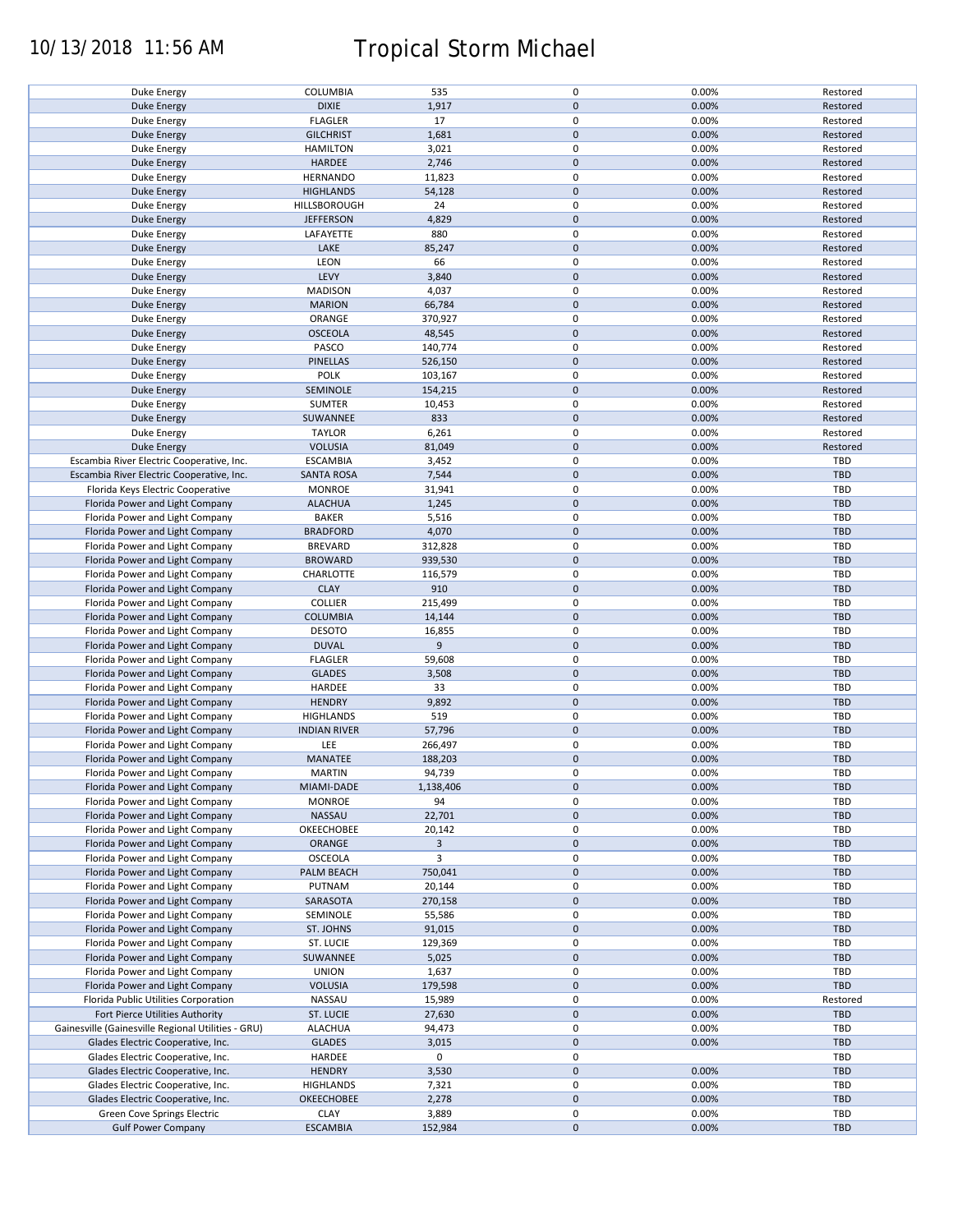# 10/13/2018 11:56 AM Tropical Storm Michael

|                                                    |                     |                | 0                   | 0.00% |            |
|----------------------------------------------------|---------------------|----------------|---------------------|-------|------------|
| Duke Energy                                        | COLUMBIA            | 535            |                     |       | Restored   |
| <b>Duke Energy</b>                                 | <b>DIXIE</b>        | 1,917          | $\mathbf 0$         | 0.00% | Restored   |
| Duke Energy                                        | <b>FLAGLER</b>      | 17             | 0                   | 0.00% | Restored   |
| <b>Duke Energy</b>                                 | <b>GILCHRIST</b>    | 1,681          | $\mathbf 0$         | 0.00% | Restored   |
|                                                    |                     |                |                     |       |            |
| <b>Duke Energy</b>                                 | <b>HAMILTON</b>     | 3,021          | 0                   | 0.00% | Restored   |
| <b>Duke Energy</b>                                 | <b>HARDEE</b>       | 2,746          | $\mathbf 0$         | 0.00% | Restored   |
| Duke Energy                                        | <b>HERNANDO</b>     | 11,823         | 0                   | 0.00% | Restored   |
| <b>Duke Energy</b>                                 | <b>HIGHLANDS</b>    | 54,128         | $\mathbf 0$         | 0.00% | Restored   |
|                                                    |                     |                | 0                   |       |            |
| Duke Energy                                        | HILLSBOROUGH        | 24             |                     | 0.00% | Restored   |
| <b>Duke Energy</b>                                 | <b>JEFFERSON</b>    | 4,829          | $\pmb{0}$           | 0.00% | Restored   |
| Duke Energy                                        | LAFAYETTE           | 880            | 0                   | 0.00% | Restored   |
| Duke Energy                                        | LAKE                | 85,247         | $\mathbf 0$         | 0.00% | Restored   |
|                                                    | LEON                | 66             | 0                   | 0.00% | Restored   |
| Duke Energy                                        |                     |                |                     |       |            |
| Duke Energy                                        | LEVY                | 3,840          | $\mathbf 0$         | 0.00% | Restored   |
| Duke Energy                                        | <b>MADISON</b>      | 4,037          | 0                   | 0.00% | Restored   |
| <b>Duke Energy</b>                                 | <b>MARION</b>       | 66,784         | $\mathbf 0$         | 0.00% | Restored   |
| Duke Energy                                        | ORANGE              | 370,927        | 0                   | 0.00% | Restored   |
|                                                    |                     |                |                     |       |            |
| <b>Duke Energy</b>                                 | <b>OSCEOLA</b>      | 48,545         | $\mathbf 0$         | 0.00% | Restored   |
| Duke Energy                                        | PASCO               | 140,774        | 0                   | 0.00% | Restored   |
| <b>Duke Energy</b>                                 | <b>PINELLAS</b>     | 526,150        | $\mathbf 0$         | 0.00% | Restored   |
|                                                    | <b>POLK</b>         |                | 0                   | 0.00% |            |
| Duke Energy                                        |                     | 103,167        |                     |       | Restored   |
| <b>Duke Energy</b>                                 | SEMINOLE            | 154,215        | $\pmb{0}$           | 0.00% | Restored   |
| Duke Energy                                        | SUMTER              | 10,453         | 0                   | 0.00% | Restored   |
| <b>Duke Energy</b>                                 | SUWANNEE            | 833            | $\mathbf 0$         | 0.00% | Restored   |
|                                                    |                     |                |                     |       |            |
| Duke Energy                                        | <b>TAYLOR</b>       | 6,261          | 0                   | 0.00% | Restored   |
| <b>Duke Energy</b>                                 | <b>VOLUSIA</b>      | 81,049         | $\mathbf 0$         | 0.00% | Restored   |
| Escambia River Electric Cooperative, Inc.          | <b>ESCAMBIA</b>     | 3,452          | $\pmb{0}$           | 0.00% | <b>TBD</b> |
| Escambia River Electric Cooperative, Inc.          | <b>SANTA ROSA</b>   | 7,544          | $\pmb{0}$           | 0.00% | <b>TBD</b> |
| Florida Keys Electric Cooperative                  | <b>MONROE</b>       | 31,941         | 0                   | 0.00% | TBD        |
|                                                    | <b>ALACHUA</b>      |                | $\pmb{0}$           | 0.00% | <b>TBD</b> |
| Florida Power and Light Company                    |                     | 1,245          |                     |       |            |
| Florida Power and Light Company                    | <b>BAKER</b>        | 5,516          | 0                   | 0.00% | <b>TBD</b> |
| Florida Power and Light Company                    | <b>BRADFORD</b>     | 4,070          | $\pmb{0}$           | 0.00% | <b>TBD</b> |
| Florida Power and Light Company                    | <b>BREVARD</b>      | 312,828        | 0                   | 0.00% | TBD        |
| Florida Power and Light Company                    | <b>BROWARD</b>      | 939,530        | $\pmb{0}$           | 0.00% | <b>TBD</b> |
| Florida Power and Light Company                    | CHARLOTTE           | 116,579        | 0                   | 0.00% | TBD        |
|                                                    |                     |                |                     |       |            |
| Florida Power and Light Company                    | <b>CLAY</b>         | 910            | $\pmb{0}$           | 0.00% | <b>TBD</b> |
| Florida Power and Light Company                    | <b>COLLIER</b>      | 215,499        | $\pmb{0}$           | 0.00% | TBD        |
| Florida Power and Light Company                    | <b>COLUMBIA</b>     | 14,144         | $\pmb{0}$           | 0.00% | <b>TBD</b> |
| Florida Power and Light Company                    | <b>DESOTO</b>       | 16,855         | 0                   | 0.00% | TBD        |
| Florida Power and Light Company                    | <b>DUVAL</b>        | 9              | $\pmb{0}$           | 0.00% | <b>TBD</b> |
|                                                    | <b>FLAGLER</b>      |                | 0                   | 0.00% | TBD        |
| Florida Power and Light Company                    |                     | 59,608         |                     |       |            |
| Florida Power and Light Company                    | <b>GLADES</b>       | 3,508          | $\mathbf 0$         | 0.00% | <b>TBD</b> |
| Florida Power and Light Company                    | HARDEE              | 33             | 0                   | 0.00% | TBD        |
| Florida Power and Light Company                    | <b>HENDRY</b>       | 9,892          | $\mathsf{O}\xspace$ | 0.00% | <b>TBD</b> |
| Florida Power and Light Company                    | <b>HIGHLANDS</b>    | 519            | $\pmb{0}$           | 0.00% | TBD        |
| Florida Power and Light Company                    | <b>INDIAN RIVER</b> | 57,796         | $\pmb{0}$           | 0.00% | <b>TBD</b> |
|                                                    |                     |                |                     |       |            |
| Florida Power and Light Company                    | LEE                 | 266,497        | 0                   | 0.00% | TBD        |
| Florida Power and Light Company                    | MANATEE             | 188,203        | $\pmb{0}$           | 0.00% | <b>TBD</b> |
| Florida Power and Light Company                    | <b>MARTIN</b>       | 94,739         | 0                   | 0.00% | TBD        |
| Florida Power and Light Company                    | MIAMI-DADE          | 1,138,406      | $\mathsf{O}\xspace$ | 0.00% | <b>TBD</b> |
|                                                    |                     |                |                     |       |            |
| Florida Power and Light Company                    | <b>MONROE</b>       | 94             | 0                   | 0.00% | <b>TBD</b> |
| Florida Power and Light Company                    | NASSAU              | 22,701         | $\pmb{0}$           | 0.00% | <b>TBD</b> |
| Florida Power and Light Company                    | OKEECHOBEE          | 20,142         | 0                   | 0.00% | <b>TBD</b> |
| Florida Power and Light Company                    | ORANGE              | $\overline{3}$ | $\pmb{0}$           | 0.00% | <b>TBD</b> |
| Florida Power and Light Company                    | <b>OSCEOLA</b>      | 3              | 0                   | 0.00% | <b>TBD</b> |
|                                                    |                     |                |                     |       |            |
| Florida Power and Light Company                    | PALM BEACH          | 750,041        | $\mathbf 0$         | 0.00% | <b>TBD</b> |
| Florida Power and Light Company                    | PUTNAM              | 20,144         | 0                   | 0.00% | TBD        |
| Florida Power and Light Company                    | SARASOTA            | 270,158        | $\pmb{0}$           | 0.00% | <b>TBD</b> |
| Florida Power and Light Company                    | SEMINOLE            | 55,586         | 0                   | 0.00% | TBD        |
| Florida Power and Light Company                    | ST. JOHNS           | 91,015         | $\pmb{0}$           | 0.00% | <b>TBD</b> |
| Florida Power and Light Company                    | ST. LUCIE           |                | 0                   |       | TBD        |
|                                                    |                     | 129,369        |                     | 0.00% |            |
| Florida Power and Light Company                    | SUWANNEE            | 5,025          | $\pmb{0}$           | 0.00% | <b>TBD</b> |
| Florida Power and Light Company                    | <b>UNION</b>        | 1,637          | 0                   | 0.00% | TBD        |
| Florida Power and Light Company                    | <b>VOLUSIA</b>      | 179,598        | $\pmb{0}$           | 0.00% | TBD        |
| Florida Public Utilities Corporation               | NASSAU              | 15,989         | 0                   | 0.00% | Restored   |
| Fort Pierce Utilities Authority                    | ST. LUCIE           | 27,630         | $\mathsf{O}\xspace$ | 0.00% | TBD        |
|                                                    |                     |                |                     |       |            |
| Gainesville (Gainesville Regional Utilities - GRU) | <b>ALACHUA</b>      | 94,473         | 0                   | 0.00% | TBD        |
| Glades Electric Cooperative, Inc.                  | <b>GLADES</b>       | 3,015          | $\mathsf{O}\xspace$ | 0.00% | <b>TBD</b> |
| Glades Electric Cooperative, Inc.                  | HARDEE              | 0              | 0                   |       | TBD        |
| Glades Electric Cooperative, Inc.                  | <b>HENDRY</b>       | 3,530          | $\mathsf{O}\xspace$ | 0.00% | <b>TBD</b> |
| Glades Electric Cooperative, Inc.                  | <b>HIGHLANDS</b>    | 7,321          | 0                   | 0.00% | TBD        |
| Glades Electric Cooperative, Inc.                  | <b>OKEECHOBEE</b>   | 2,278          | $\mathbf 0$         | 0.00% | <b>TBD</b> |
|                                                    |                     |                |                     |       |            |
| Green Cove Springs Electric                        | <b>CLAY</b>         | 3,889          | 0                   | 0.00% | TBD        |
| <b>Gulf Power Company</b>                          | <b>ESCAMBIA</b>     | 152,984        | $\pmb{0}$           | 0.00% | <b>TBD</b> |